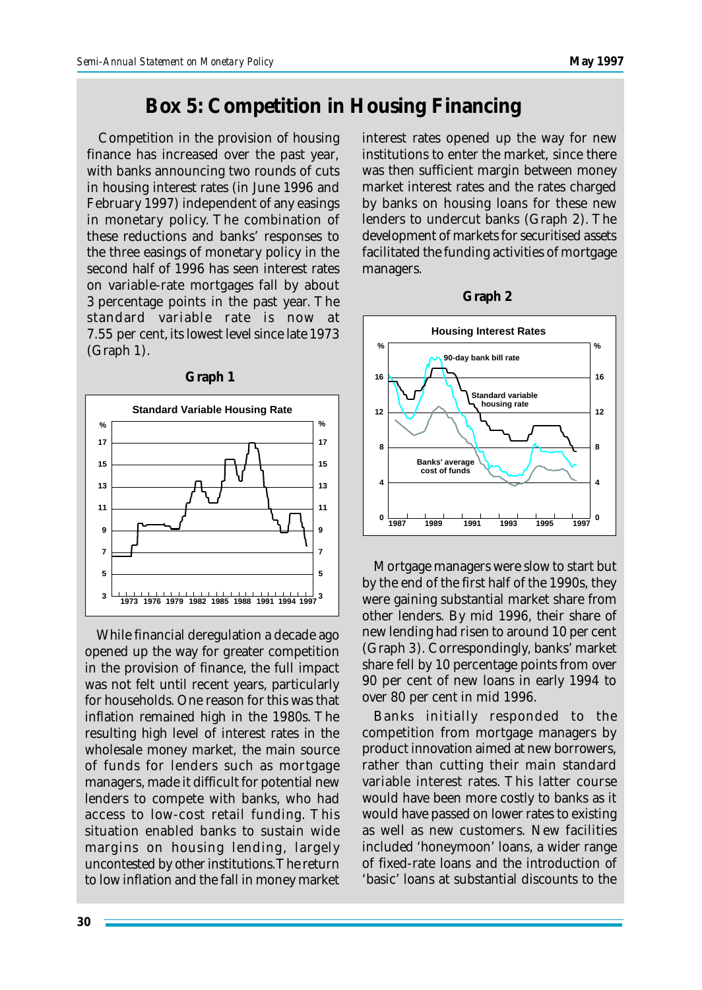## **Box 5: Competition in Housing Financing**

Competition in the provision of housing finance has increased over the past year, with banks announcing two rounds of cuts in housing interest rates (in June 1996 and February 1997) independent of any easings in monetary policy. The combination of these reductions and banks' responses to the three easings of monetary policy in the second half of 1996 has seen interest rates on variable-rate mortgages fall by about 3 percentage points in the past year. The standard variable rate is now at 7.55 per cent, its lowest level since late 1973 (Graph 1).



While financial deregulation a decade ago opened up the way for greater competition in the provision of finance, the full impact was not felt until recent years, particularly for households. One reason for this was that inflation remained high in the 1980s. The resulting high level of interest rates in the wholesale money market, the main source of funds for lenders such as mortgage managers, made it difficult for potential new lenders to compete with banks, who had access to low-cost retail funding. This situation enabled banks to sustain wide margins on housing lending, largely uncontested by other institutions. The return to low inflation and the fall in money market interest rates opened up the way for new institutions to enter the market, since there was then sufficient margin between money market interest rates and the rates charged by banks on housing loans for these new lenders to undercut banks (Graph 2). The development of markets for securitised assets facilitated the funding activities of mortgage managers.



Mortgage managers were slow to start but by the end of the first half of the 1990s, they were gaining substantial market share from other lenders. By mid 1996, their share of new lending had risen to around 10 per cent (Graph 3). Correspondingly, banks' market share fell by 10 percentage points from over 90 per cent of new loans in early 1994 to over 80 per cent in mid 1996.

Banks initially responded to the competition from mortgage managers by product innovation aimed at new borrowers, rather than cutting their main standard variable interest rates. This latter course would have been more costly to banks as it would have passed on lower rates to existing as well as new customers. New facilities included 'honeymoon' loans, a wider range of fixed-rate loans and the introduction of 'basic' loans at substantial discounts to the